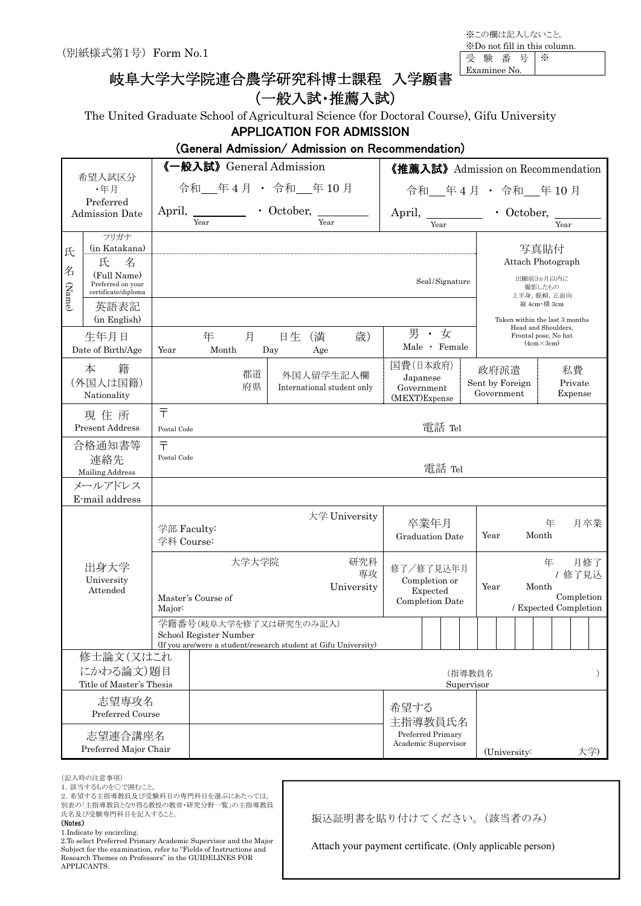※この欄は記入しないこと。 ※Do not fill in this column. 受 験 番 号 ※

Examinee No.

# 岐阜大学大学院連合農学研究科博士課程 入学願書

# (一般入試・推薦入試)

The United Graduate School of Agricultural Science (for Doctoral Course), Gifu University

#### APPLICATION FOR ADMISSION

### (General Admission/ Admission on Recommendation)

|                  | 希望入試区分                                                                                     | 《一般入試》General Admission                                                                                             |                                         | 《推薦入試》Admission on Recommendation                         |                                                                            |  |  |  |  |
|------------------|--------------------------------------------------------------------------------------------|---------------------------------------------------------------------------------------------------------------------|-----------------------------------------|-----------------------------------------------------------|----------------------------------------------------------------------------|--|--|--|--|
|                  | ·年月                                                                                        | 令和_年4月 · 令和_年10月                                                                                                    |                                         | 令和__年4月 · 令和__年10月                                        |                                                                            |  |  |  |  |
|                  | Preferred<br><b>Admission Date</b>                                                         | • October,<br>April,                                                                                                |                                         | April,                                                    | • October,                                                                 |  |  |  |  |
|                  |                                                                                            | Year                                                                                                                | Year                                    | Year                                                      | Year                                                                       |  |  |  |  |
| 氏<br>名<br>(Name) | フリガナ<br>(in Katakana)<br>氏<br>名<br>(Full Name)<br>Preferred on your<br>certificate/diploma |                                                                                                                     |                                         | $\operatorname{Seal}/\operatorname{Signature}$            | 写真貼付<br>Attach Photograph<br>出願前3ヵ月以内に<br>撮影したもの<br>上半身, 脱帽, 正面向           |  |  |  |  |
|                  | 英語表記<br>(in English)                                                                       |                                                                                                                     |                                         |                                                           | 縦 4cm·横 3cm<br>Taken within the last 3 months                              |  |  |  |  |
|                  | 生年月日<br>Date of Birth/Age                                                                  | 月<br>年<br>日生<br>Month<br>Day<br>Year                                                                                | 歳)<br>(満<br>Age                         | 男·女<br>Male · Female                                      | Head and Shoulders,<br>Frontal pose, No hat<br>$(4cm \times 3cm)$          |  |  |  |  |
|                  | 本<br>籍<br>(外国人は国籍)<br>Nationality                                                          | 都道<br>府県                                                                                                            | 外国人留学生記入欄<br>International student only | 国費(日本政府)<br>Japanese<br>Government<br>(MEXT)Expense       | 私費<br>政府派遣<br>Sent by Foreign<br>Private<br>Government<br>Expense          |  |  |  |  |
|                  | 現住所<br><b>Present Address</b>                                                              | $\bar{\tau}$<br>Postal Code                                                                                         |                                         | 電話 Tel                                                    |                                                                            |  |  |  |  |
|                  | 合格通知書等<br>連絡先<br>Mailing Address                                                           | $\overline{\tau}$<br>Postal Code                                                                                    |                                         | 電話 Tel                                                    |                                                                            |  |  |  |  |
|                  | メールアドレス                                                                                    |                                                                                                                     |                                         |                                                           |                                                                            |  |  |  |  |
|                  | E-mail address                                                                             |                                                                                                                     |                                         |                                                           |                                                                            |  |  |  |  |
|                  |                                                                                            | 学部 Faculty:<br>学科 Course:                                                                                           | 大学 University                           | 卒業年月<br><b>Graduation Date</b>                            | 年<br>月卒業<br>Month<br>Year                                                  |  |  |  |  |
|                  | 出身大学<br>University<br>Attended                                                             | 大学大学院<br>Master's Course of<br>Major:                                                                               | 研究科<br>専攻<br>University                 | 修了/修了見込年月<br>Completion or<br>Expected<br>Completion Date | 年<br>月修了<br>/ 修了見込<br>Year<br>Month<br>Completion<br>/ Expected Completion |  |  |  |  |
|                  |                                                                                            | 学籍番号(岐阜大学を修了又は研究生のみ記入)<br>School Register Number<br>(If you are/were a student/research student at Gifu University) |                                         |                                                           |                                                                            |  |  |  |  |
|                  | 修士論文(又はこれ                                                                                  |                                                                                                                     |                                         |                                                           |                                                                            |  |  |  |  |
|                  | にかわる論文)題目<br>Title of Master's Thesis                                                      |                                                                                                                     |                                         | (指導教員名<br>Supervisor                                      | $\lambda$                                                                  |  |  |  |  |
|                  | 志望専攻名<br>Preferred Course                                                                  |                                                                                                                     |                                         | 希望する<br>主指導教員氏名                                           |                                                                            |  |  |  |  |
|                  | 志望連合講座名<br>Preferred Major Chair                                                           |                                                                                                                     |                                         | Preferred Primary<br>Academic Supervisor                  | 大学)<br>(University:                                                        |  |  |  |  |

(記入時の注意事項)

1. 該当するものを○で囲むこと。

2.希望する主指導教員及び受験科目の専門科目を選ぶにあたっては,

別表の「主指導教員となり得る教授の教育・研究分野一覧」の主指導教員

氏名及び受験専門科目を記入すること。

#### (Notes)

1.Indicate by encircling.

2.To select Preferred Primary Academic Supervisor and the Major Subject for the examination, refer to "Fields of Instructions and Research Themes on Professors" in the GUIDELINES FOR APPLICANTS.

振込証明書を貼り付けてください。(該当者のみ)

Attach your payment certificate. (Only applicable person)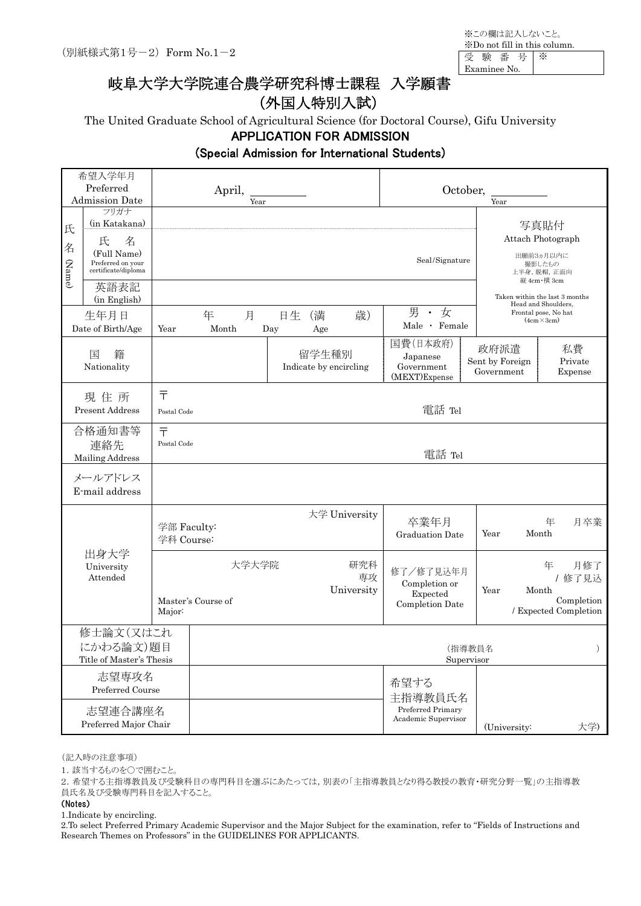※この欄は記入しないこと。 ※Do not fill in this column. 受 験 番 号 ※

Examinee No.

# 岐阜大学大学院連合農学研究科博士課程 入学願書

# (外国人特別入試)

The United Graduate School of Agricultural Science (for Doctoral Course), Gifu University

#### APPLICATION FOR ADMISSION

#### (Special Admission for International Students)

|                                | 希望入学年月<br>Preferred<br><b>Admission Date</b>                                               |                                  | April,<br>Year              |           |                                 |                         | October,                                                    | Year                    |                                                                                                                      |                                                                   |  |  |
|--------------------------------|--------------------------------------------------------------------------------------------|----------------------------------|-----------------------------|-----------|---------------------------------|-------------------------|-------------------------------------------------------------|-------------------------|----------------------------------------------------------------------------------------------------------------------|-------------------------------------------------------------------|--|--|
| 氏<br>名<br>(Name)               | フリガナ<br>(in Katakana)<br>氏<br>名<br>(Full Name)<br>Preferred on your<br>certificate/diploma |                                  |                             |           |                                 |                         | Seal/Signature                                              |                         |                                                                                                                      | 写真貼付<br>Attach Photograph<br>出願前3ヵ月以内に<br>撮影したもの<br>上半身, 脱帽, 正面向  |  |  |
|                                | 英語表記<br>(in English)<br>生年月日<br>Date of Birth/Age                                          | Year                             | 年<br>月<br>Month             | 日生<br>Day | (満<br>Age                       | 歳)                      | 男<br>· 女<br>Male · Female                                   |                         | 縦 4cm · 横 3cm<br>Taken within the last 3 months<br>Head and Shoulders,<br>Frontal pose, No hat<br>$(4cm \times 3cm)$ |                                                                   |  |  |
|                                | 国<br>籍<br>Nationality                                                                      |                                  |                             |           | 留学生種別<br>Indicate by encircling |                         | 国費(日本政府)<br>Japanese<br>Government<br>(MEXT)Expense         | 政府派遣<br>Sent by Foreign | Government                                                                                                           | 私費<br>Private<br>Expense                                          |  |  |
|                                | 現住所<br><b>Present Address</b>                                                              | $\overline{\tau}$<br>Postal Code |                             |           |                                 |                         | 電話 Tel                                                      |                         |                                                                                                                      |                                                                   |  |  |
|                                | 合格通知書等<br>連絡先<br>Mailing Address                                                           | $\bar{\tau}$<br>Postal Code      |                             |           |                                 |                         | 電話 Tel                                                      |                         |                                                                                                                      |                                                                   |  |  |
|                                | メールアドレス<br>E-mail address                                                                  |                                  |                             |           |                                 |                         |                                                             |                         |                                                                                                                      |                                                                   |  |  |
|                                |                                                                                            | 学部 Faculty:<br>学科 Course:        |                             |           |                                 | 大学 University           | 卒業年月<br>Graduation Date                                     | Year                    |                                                                                                                      | 年<br>月卒業<br>Month                                                 |  |  |
| 出身大学<br>University<br>Attended |                                                                                            | Major:                           | 大学大学院<br>Master's Course of |           |                                 | 研究科<br>専攻<br>University | 修了/修了見込年月<br>Completion or<br>Expected<br>Completion Date   | Year                    |                                                                                                                      | 月修了<br>年<br>/修了見込<br>Month<br>Completion<br>/ Expected Completion |  |  |
|                                | 修士論文(又はこれ<br>にかわる論文)題目<br>Title of Master's Thesis                                         |                                  |                             |           |                                 |                         |                                                             | (指導教員名<br>Supervisor    |                                                                                                                      |                                                                   |  |  |
|                                | 志望専攻名<br>Preferred Course<br>志望連合講座名<br>Preferred Major Chair                              |                                  |                             |           |                                 |                         | 希望する<br>主指導教員氏名<br>Preferred Primary<br>Academic Supervisor |                         | (University:                                                                                                         | 大学)                                                               |  |  |

(記入時の注意事項)

1. 該当するものを○で囲むこと。

2.希望する主指導教員及び受験科目の専門科目を選ぶにあたっては,別表の「主指導教員となり得る教授の教育・研究分野一覧」の主指導教 員氏名及び受験専門科目を記入すること。

(Notes)

1.Indicate by encircling.

2.To select Preferred Primary Academic Supervisor and the Major Subject for the examination, refer to "Fields of Instructions and Research Themes on Professors" in the GUIDELINES FOR APPLICANTS.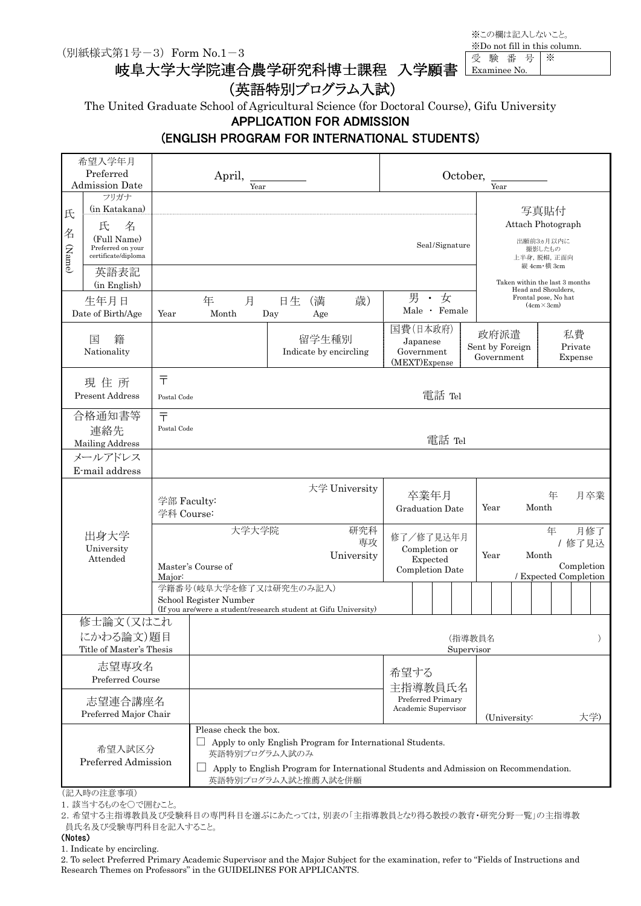(別紙様式第1号-3) Form No.1-3

岐阜大学大学院連合農学研究科博士課程 入学願書

※この欄は記入しないこと。 ※Do not fill in this column. 受 験 番 号 ※ Examinee No.

### (英語特別プログラム入試)

The United Graduate School of Agricultural Science (for Doctoral Course), Gifu University

APPLICATION FOR ADMISSION

### (ENGLISH PROGRAM FOR INTERNATIONAL STUDENTS)

|                  | 希望入学年月<br>Preferred<br><b>Admission Date</b>                                               |                                                                  | April,                                                                                                              | Year |                                      |                                                           |                                                                                                                                                   |                           |                        |                                             | October,             |                                                                                                     | Year                                  |  |                                            |                                   |                          |     |
|------------------|--------------------------------------------------------------------------------------------|------------------------------------------------------------------|---------------------------------------------------------------------------------------------------------------------|------|--------------------------------------|-----------------------------------------------------------|---------------------------------------------------------------------------------------------------------------------------------------------------|---------------------------|------------------------|---------------------------------------------|----------------------|-----------------------------------------------------------------------------------------------------|---------------------------------------|--|--------------------------------------------|-----------------------------------|--------------------------|-----|
| 氏<br>名<br>(Name) | フリガナ<br>(in Katakana)<br>氏<br>名<br>(Full Name)<br>Preferred on your<br>certificate/diploma |                                                                  |                                                                                                                     |      |                                      |                                                           |                                                                                                                                                   |                           |                        | Seal/Signature                              |                      |                                                                                                     |                                       |  | 写真貼付<br>出願前3ヵ月以内に<br>撮影したもの<br>縦 4cm·横 3cm | Attach Photograph<br>上半身, 脱帽, 正面向 |                          |     |
|                  | 英語表記<br>(in English)<br>生年月日<br>Date of Birth/Age                                          | Year                                                             | 年<br>Month                                                                                                          | 月    | 日生<br>Day                            | (満<br>Age                                                 | 歳)                                                                                                                                                |                           | 男                      | 女<br>$\bullet$<br>Male · Female             |                      | Taken within the last 3 months<br>Head and Shoulders,<br>Frontal pose, No hat<br>$(4cm \times 3cm)$ |                                       |  |                                            |                                   |                          |     |
|                  | 国<br>籍<br>Nationality                                                                      |                                                                  |                                                                                                                     |      |                                      | 留学生種別                                                     | Indicate by encircling                                                                                                                            | 国費(日本政府)<br>(MEXT)Expense | Japanese<br>Government |                                             |                      |                                                                                                     | 政府派遣<br>Sent by Foreign<br>Government |  |                                            |                                   | 私費<br>Private<br>Expense |     |
|                  | 現住所<br><b>Present Address</b>                                                              | 亍<br>Postal Code                                                 |                                                                                                                     |      |                                      |                                                           |                                                                                                                                                   |                           |                        | 電話 Tel                                      |                      |                                                                                                     |                                       |  |                                            |                                   |                          |     |
|                  | 合格通知書等<br>連絡先<br>Mailing Address                                                           | $\bar{T}$                                                        | Postal Code                                                                                                         |      |                                      |                                                           |                                                                                                                                                   |                           |                        | 電話 Tel                                      |                      |                                                                                                     |                                       |  |                                            |                                   |                          |     |
|                  | メールアドレス<br>E-mail address                                                                  |                                                                  |                                                                                                                     |      |                                      |                                                           |                                                                                                                                                   |                           |                        |                                             |                      |                                                                                                     |                                       |  |                                            |                                   |                          |     |
|                  |                                                                                            |                                                                  | 大学 University<br>学部 Faculty:<br>学科 Course:                                                                          |      |                                      |                                                           |                                                                                                                                                   |                           | 卒業年月                   | <b>Graduation Date</b>                      |                      | Year                                                                                                |                                       |  | Month                                      | 年                                 |                          | 月卒業 |
|                  | 出身大学<br>University<br>Attended                                                             | 大学大学院<br>研究科<br>専攻<br>University<br>Master's Course of<br>Major: |                                                                                                                     |      |                                      | 修了/修了見込年月<br>Completion or<br>Expected<br>Completion Date |                                                                                                                                                   |                           |                        | 年<br>Month<br>Year<br>/ Expected Completion |                      |                                                                                                     | 月修了<br>/ 修了見込<br>Completion           |  |                                            |                                   |                          |     |
|                  |                                                                                            |                                                                  | 学籍番号(岐阜大学を修了又は研究生のみ記入)<br>School Register Number<br>(If you are/were a student/research student at Gifu University) |      |                                      |                                                           |                                                                                                                                                   |                           |                        |                                             |                      |                                                                                                     |                                       |  |                                            |                                   |                          |     |
|                  | 修士論文(又はこれ<br>にかわる論文)題目<br>Title of Master's Thesis                                         |                                                                  |                                                                                                                     |      |                                      |                                                           |                                                                                                                                                   |                           |                        |                                             | (指導教員名<br>Supervisor |                                                                                                     |                                       |  |                                            |                                   |                          |     |
|                  | 志望専攻名<br>Preferred Course                                                                  |                                                                  |                                                                                                                     |      |                                      |                                                           |                                                                                                                                                   | 希望する<br>主指導教員氏名           |                        |                                             |                      |                                                                                                     |                                       |  |                                            |                                   |                          |     |
|                  | 志望連合講座名<br>Preferred Major Chair                                                           |                                                                  |                                                                                                                     |      |                                      |                                                           |                                                                                                                                                   |                           |                        | Preferred Primary<br>Academic Supervisor    |                      |                                                                                                     | (University:                          |  |                                            |                                   | 大学)                      |     |
|                  | 希望入試区分<br>Preferred Admission                                                              |                                                                  | Please check the box.                                                                                               |      | 英語特別プログラム入試のみ<br>英語特別プログラム入試と推薦入試を併願 |                                                           | Apply to only English Program for International Students.<br>Apply to English Program for International Students and Admission on Recommendation. |                           |                        |                                             |                      |                                                                                                     |                                       |  |                                            |                                   |                          |     |

(記入時の注意事項)

1. 該当するものを○で囲むこと。

2.希望する主指導教員及び受験科目の専門科目を選ぶにあたっては,別表の「主指導教員となり得る教授の教育・研究分野一覧」の主指導教 員氏名及び受験専門科目を記入すること。

(Notes)

1. Indicate by encircling.

2. To select Preferred Primary Academic Supervisor and the Major Subject for the examination, refer to "Fields of Instructions and Research Themes on Professors" in the GUIDELINES FOR APPLICANTS.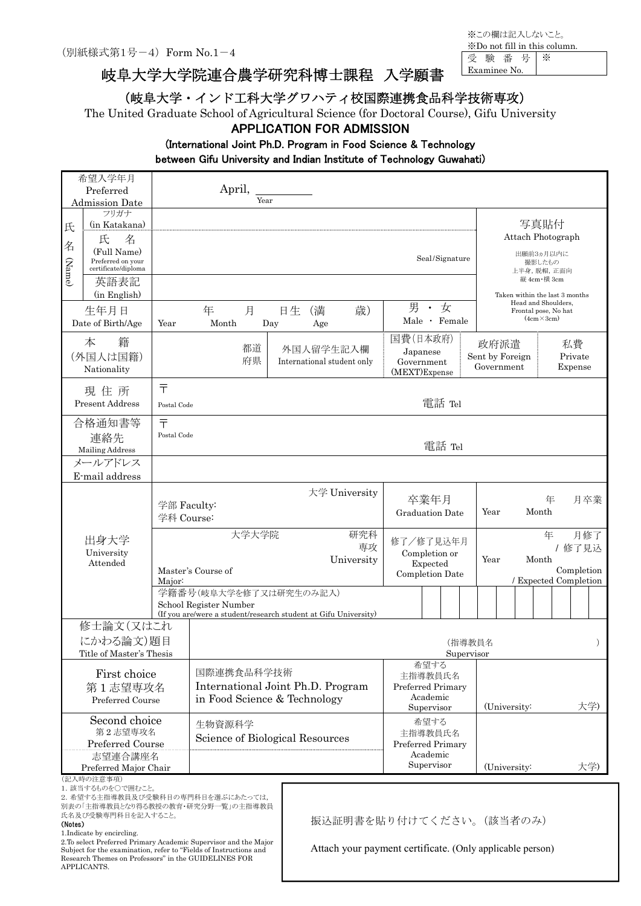岐阜大学大学院連合農学研究科博士課程 入学願書

(岐阜大学・インド工科大学グワハティ校国際連携食品科学技術専攻)

The United Graduate School of Agricultural Science (for Doctoral Course), Gifu University

#### APPLICATION FOR ADMISSION

### (International Joint Ph.D. Program in Food Science & Technology

between Gifu University and Indian Institute of Technology Guwahati)

|        | 希望入学年月                                     |             |                                                                        |     |           |                            |                             |                        |                |                 |  |                                                       |    |                       |
|--------|--------------------------------------------|-------------|------------------------------------------------------------------------|-----|-----------|----------------------------|-----------------------------|------------------------|----------------|-----------------|--|-------------------------------------------------------|----|-----------------------|
|        | Preferred<br><b>Admission Date</b>         |             | April,<br>Year                                                         |     |           |                            |                             |                        |                |                 |  |                                                       |    |                       |
|        | フリガナ                                       |             |                                                                        |     |           |                            |                             |                        |                |                 |  |                                                       |    |                       |
| 氏      | (in Katakana)                              |             |                                                                        |     |           |                            |                             |                        |                |                 |  | 写真貼付                                                  |    |                       |
|        | 氏<br>名                                     |             |                                                                        |     |           |                            |                             |                        |                |                 |  | Attach Photograph                                     |    |                       |
| 名      | (Full Name)                                |             |                                                                        |     |           |                            |                             |                        |                |                 |  | 出願前3ヵ月以内に                                             |    |                       |
| (Name) | Preferred on your<br>certificate/diploma   |             |                                                                        |     |           |                            |                             |                        | Seal/Signature |                 |  | 撮影したもの                                                |    |                       |
|        |                                            |             |                                                                        |     |           |                            |                             |                        |                |                 |  | 上半身, 脱帽, 正面向<br>縦 4cm 横 3cm                           |    |                       |
|        | 英語表記<br>(in English)                       |             |                                                                        |     |           |                            |                             |                        |                |                 |  |                                                       |    |                       |
|        |                                            |             |                                                                        |     |           |                            | 男                           | • 女                    |                |                 |  | Taken within the last 3 months<br>Head and Shoulders, |    |                       |
|        | 生年月日                                       |             | 年<br>月                                                                 | 日生  | (満        | 歳)                         |                             |                        | Male · Female  |                 |  | Frontal pose, No hat<br>$(4cm \times 3cm)$            |    |                       |
|        | Date of Birth/Age                          | Year        | Month                                                                  | Day | Age       |                            |                             |                        |                |                 |  |                                                       |    |                       |
|        | 籍<br>本                                     |             |                                                                        |     |           |                            | 国費(日本政府)                    |                        |                | 政府派遣            |  |                                                       | 私費 |                       |
|        | (外国人は国籍)                                   |             | 都道<br>府県                                                               |     | 外国人留学生記入欄 | International student only |                             | Japanese               |                | Sent by Foreign |  |                                                       |    | Private               |
|        | Nationality                                |             |                                                                        |     |           |                            | Government<br>(MEXT)Expense |                        |                | Government      |  |                                                       |    | Expense               |
|        |                                            | 〒           |                                                                        |     |           |                            |                             |                        |                |                 |  |                                                       |    |                       |
|        | 現住所                                        |             |                                                                        |     |           |                            |                             |                        |                |                 |  |                                                       |    |                       |
|        | Present Address                            | Postal Code |                                                                        |     |           |                            |                             |                        | 電話 Tel         |                 |  |                                                       |    |                       |
|        | 合格通知書等                                     | 〒           |                                                                        |     |           |                            |                             |                        |                |                 |  |                                                       |    |                       |
|        | 連絡先                                        | Postal Code |                                                                        |     |           |                            |                             |                        |                |                 |  |                                                       |    |                       |
|        | Mailing Address                            |             |                                                                        |     |           |                            |                             |                        | 電話 Tel         |                 |  |                                                       |    |                       |
|        | メールアドレス                                    |             |                                                                        |     |           |                            |                             |                        |                |                 |  |                                                       |    |                       |
|        | E-mail address                             |             |                                                                        |     |           |                            |                             |                        |                |                 |  |                                                       |    |                       |
|        |                                            |             |                                                                        |     |           | 大学 University              |                             |                        |                |                 |  |                                                       |    |                       |
|        |                                            |             | 学部 Faculty:                                                            |     |           |                            |                             | 卒業年月                   |                |                 |  | 年                                                     |    | 月卒業                   |
|        |                                            | 学科 Course:  |                                                                        |     |           |                            | <b>Graduation Date</b>      |                        |                | Year            |  | Month                                                 |    |                       |
|        |                                            |             | 大学大学院                                                                  |     |           | 研究科                        |                             |                        |                |                 |  | 年                                                     |    | 月修了                   |
|        | 出身大学                                       |             |                                                                        |     |           | 専攻                         | 修了/修了見込年月                   |                        |                |                 |  |                                                       |    | / 修了見込                |
|        | University<br>Attended                     |             |                                                                        |     |           | University                 | Completion or<br>Expected   |                        |                | Year<br>Month   |  |                                                       |    |                       |
|        |                                            |             | Master's Course of                                                     |     |           |                            | Completion Date             |                        |                |                 |  |                                                       |    | Completion            |
|        |                                            | Major:      | 学籍番号(岐阜大学を修了又は研究生のみ記入)                                                 |     |           |                            |                             |                        |                |                 |  |                                                       |    | / Expected Completion |
|        |                                            |             | School Register Number                                                 |     |           |                            |                             |                        |                |                 |  |                                                       |    |                       |
|        |                                            |             | (If you are/were a student/research student at Gifu University)        |     |           |                            |                             |                        |                |                 |  |                                                       |    |                       |
|        | 修士論文(又はこれ                                  |             |                                                                        |     |           |                            |                             |                        |                |                 |  |                                                       |    |                       |
|        | にかわる論文)題目                                  |             |                                                                        |     |           |                            |                             |                        | (指導教員名         |                 |  |                                                       |    |                       |
|        | Title of Master's Thesis                   |             |                                                                        |     |           |                            |                             |                        | Supervisor     |                 |  |                                                       |    |                       |
|        |                                            |             | 国際連携食品科学技術                                                             |     |           |                            |                             | 希望する                   |                |                 |  |                                                       |    |                       |
|        | First choice                               |             | International Joint Ph.D. Program                                      |     |           |                            |                             | 主指導教員氏名                |                |                 |  |                                                       |    |                       |
|        | 第1志望専攻名<br>Preferred Course                |             | in Food Science & Technology                                           |     |           |                            | Preferred Primary           | Academic               |                |                 |  |                                                       |    |                       |
|        |                                            |             |                                                                        |     |           |                            |                             | Supervisor             |                | (University:    |  |                                                       |    | 大学)                   |
|        | Second choice<br>生物資源科学                    |             |                                                                        |     |           |                            | 希望する                        |                        |                |                 |  |                                                       |    |                       |
|        | 第2志望専攻名<br>Science of Biological Resources |             |                                                                        |     |           |                            |                             | 主指導教員氏名                |                |                 |  |                                                       |    |                       |
|        | Preferred Course                           |             |                                                                        |     |           |                            | Preferred Primary           |                        |                |                 |  |                                                       |    |                       |
|        | 志望連合講座名                                    |             |                                                                        |     |           |                            |                             | Academic<br>Supervisor |                |                 |  |                                                       |    |                       |
|        | Preferred Major Chair<br>(記入時の注意事項)        |             |                                                                        |     |           |                            |                             |                        |                | (University:    |  |                                                       |    | 大学)                   |
|        | 1. 該当するものを○で囲むこと。                          |             |                                                                        |     |           |                            |                             |                        |                |                 |  |                                                       |    |                       |
|        |                                            |             | 2. 希望する主指導教員及び受験科目の専門科目を選ぶにあたっては,<br>別表の「主指導教員となり得る教授の教育・研究分野一覧」の主指導教員 |     |           |                            |                             |                        |                |                 |  |                                                       |    |                       |
|        | 氏名及び受験専門科目を記入すること。                         |             |                                                                        |     |           | <u>塩は証明書た</u> 肚り仕けてください。   |                             |                        |                | (試当老のひ)         |  |                                                       |    |                       |

(Notes)

1.Indicate by encircling.

2.To select Preferred Primary Academic Supervisor and the Major Subject for the examination, refer to "Fields of Instructions and Research Themes on Professors" in the GUIDELINES FOR APPLICANTS.

振込証明書を貼り付けてください。(該当者のみ)

Attach your payment certificate. (Only applicable person)

※この欄は記入しないこと。 ※Do not fill in this column. 受 験 番 号 ※ Examinee No.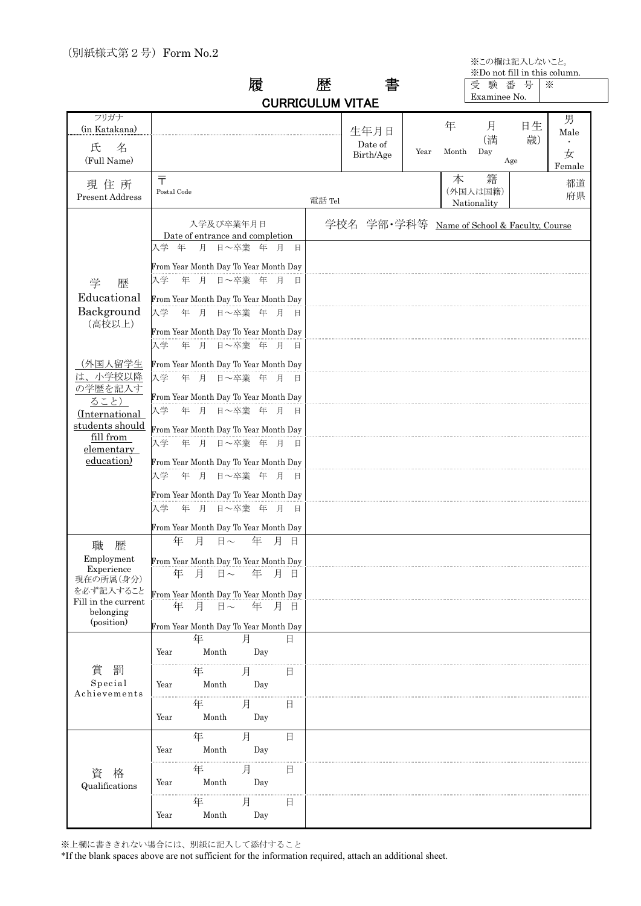※この欄は記入しないこと。

|  | ᄑ                       |  |
|--|-------------------------|--|
|  | <b>CURRICULUM VITAE</b> |  |

|   |              |  | *Do not fill in this column. |   |
|---|--------------|--|------------------------------|---|
| ₩ |              |  | 験 番 号                        | ☀ |
|   | Examinee No. |  |                              |   |

|                                                                            |                                                                                                                                                  | <b>CURRICULUM VITAE</b>                     |      |       | Examinee No.                 |          |             |
|----------------------------------------------------------------------------|--------------------------------------------------------------------------------------------------------------------------------------------------|---------------------------------------------|------|-------|------------------------------|----------|-------------|
| フリガナ<br>(in Katakana)                                                      |                                                                                                                                                  | 生年月日<br>Date of                             |      | 年     | 月<br>(満                      | 日生<br>歳) | 男<br>Male   |
| 氏<br>名<br>(Full Name)                                                      |                                                                                                                                                  | Birth/Age                                   | Year | Month | Day<br>Age                   |          | 女<br>Female |
| 現住所<br>Present Address                                                     | $\bar{\tau}$<br>Postal Code                                                                                                                      | 電話 Tel                                      |      | 本     | 籍<br>(外国人は国籍)<br>Nationality |          | 都道<br>府県    |
|                                                                            | 入学及び卒業年月日<br>Date of entrance and completion                                                                                                     | 学校名 学部·学科等 Name of School & Faculty, Course |      |       |                              |          |             |
| 学<br>歴<br>Educational<br>Background                                        | 入学 年 月 日~卒業 年 月<br>日<br>From Year Month Day To Year Month Day<br>入学 年 月 日~卒業 年 月 日<br>From Year Month Day To Year Month Day<br>入学 年 月 日~卒業 年 月 日 |                                             |      |       |                              |          |             |
| (高校以上)                                                                     | From Year Month Day To Year Month Day<br>入学 年 月 日~卒業 年 月 日                                                                                       |                                             |      |       |                              |          |             |
| (外国人留学生<br>は、小学校以降<br>の学歴を記入す<br>ること)                                      | From Year Month Day To Year Month Day<br>入学 年 月 日~卒業 年 月 日<br>From Year Month Day To Year Month Day                                              |                                             |      |       |                              |          |             |
| (International<br>students should<br>fill from<br>elementary<br>education) | 入学 年 月 日~卒業 年 月 日<br>From Year Month Day To Year Month Day<br>入学<br>年 月 日 ~卒業 年 月 日<br>From Year Month Day To Year Month Day                     |                                             |      |       |                              |          |             |
|                                                                            | 年 月 日~卒業 年 月 日<br>入学<br>From Year Month Day To Year Month Day<br>入学<br>年 月 日 ~卒業 年 月 日<br>From Year Month Day To Year Month Day                  |                                             |      |       |                              |          |             |
| 職<br>歴<br>Employment<br>Experience<br>現在の所属(身分)<br>を必ず記入すること               | 年<br>月<br>$\boxdot$ $\sim$<br>年 月 日<br>From Year Month Day To Year Month Day<br>年<br>月<br>日~ 年 月 日                                               |                                             |      |       |                              |          |             |
| Fill in the current<br>belonging<br>(position)                             | From Year Month Day To Year Month Day<br>月<br>年 月 日<br>年<br>$\Box \sim$<br>From Year Month Day To Year Month Day                                 |                                             |      |       |                              |          |             |
|                                                                            | 年<br>月<br>日<br>Month<br>Year<br>Day                                                                                                              |                                             |      |       |                              |          |             |
| 賞<br>罰<br>Special<br>Achievements                                          | 年<br>月<br>日<br>Month<br>Year<br>Day                                                                                                              |                                             |      |       |                              |          |             |
|                                                                            | 月<br>年<br>B<br>Month<br>Year<br>Day                                                                                                              |                                             |      |       |                              |          |             |
|                                                                            | 年<br>月<br>日<br>Month<br>Year<br>Day<br>月<br>年<br>日                                                                                               |                                             |      |       |                              |          |             |
| 資<br>格<br>Qualifications                                                   | Month<br>Day<br>Year<br>年<br>月<br>日                                                                                                              |                                             |      |       |                              |          |             |
|                                                                            | Year<br>Month<br>Day                                                                                                                             |                                             |      |       |                              |          |             |

※上欄に書ききれない場合には、別紙に記入して添付すること

\*If the blank spaces above are not sufficient for the information required, attach an additional sheet.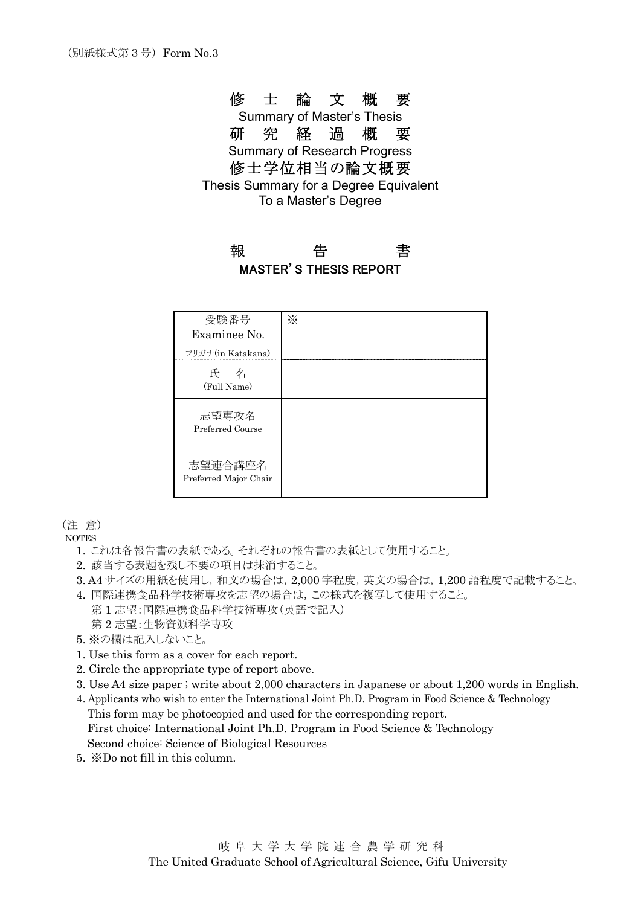### 修 士 論 文 概 要

Summary of Master's Thesis 研 究 経 過 概 要 Summary of Research Progress 修士学位相当の論文概要 Thesis Summary for a Degree Equivalent To a Master's Degree

### 報 告 書 MASTER'S THESIS REPORT

| 受験番号                             | ☀ |
|----------------------------------|---|
| Examinee No.                     |   |
| フリガナ(in Katakana)                |   |
| 氏 名<br>(Full Name)               |   |
| 志望専攻名<br>Preferred Course        |   |
| 志望連合講座名<br>Preferred Major Chair |   |

(注 意)

**NOTES** 

- 1. これは各報告書の表紙である。それぞれの報告書の表紙として使用すること。
- 2. 該当する表題を残し不要の項目は抹消すること。
- 3. A4 サイズの用紙を使用し,和文の場合は, 2,000 字程度, 英文の場合は, 1,200 語程度で記載すること。
- 4. 国際連携食品科学技術専攻を志望の場合は,この様式を複写して使用すること。
- 第 1 志望:国際連携食品科学技術専攻(英語で記入) 第 2 志望:生物資源科学専攻
- 5. ※の欄は記入しないこと。
- 1. Use this form as a cover for each report.
- 2. Circle the appropriate type of report above.
- 3. Use A4 size paper ; write about 2,000 characters in Japanese or about 1,200 words in English.
- 4. Applicants who wish to enter the International Joint Ph.D. Program in Food Science & Technology This form may be photocopied and used for the corresponding report. First choice: International Joint Ph.D. Program in Food Science & Technology Second choice: Science of Biological Resources
- 5. ※Do not fill in this column.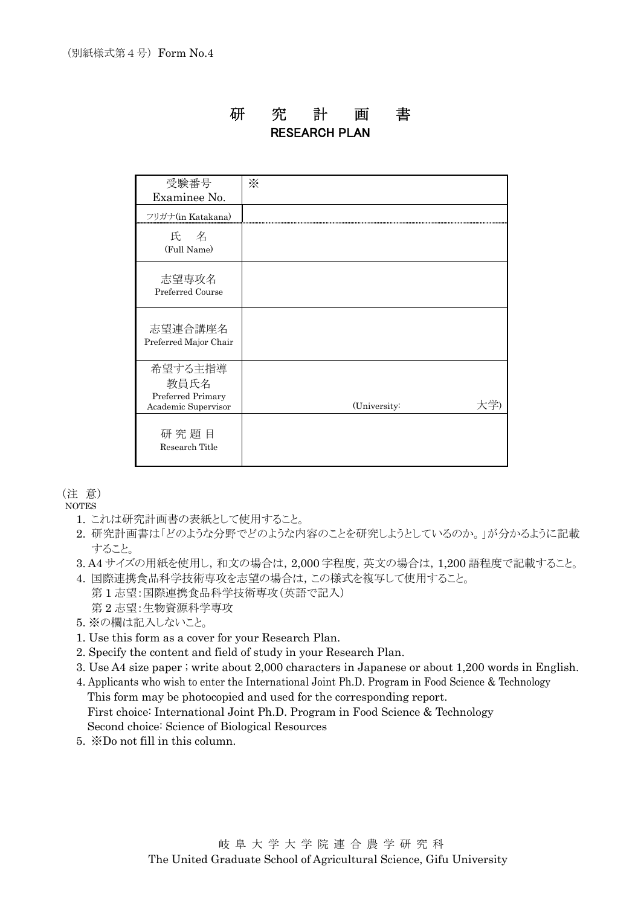### 研 究 計 画 書 RESEARCH PLAN

| 受験番号                                                        | $\mathbb{X}$ |
|-------------------------------------------------------------|--------------|
| Examinee No.                                                |              |
| フリガナ(in Katakana)                                           |              |
| 氏 名<br>(Full Name)                                          |              |
| 志望専攻名<br>Preferred Course                                   |              |
| 志望連合講座名<br>Preferred Major Chair                            |              |
| 希望する主指導<br>教員氏名<br>Preferred Primary<br>Academic Supervisor | (University: |
| 研究題目<br>Research Title                                      |              |

(注 意)

NOTES

- 1. これは研究計画書の表紙として使用すること。
- 2. 研究計画書は「どのような分野でどのような内容のことを研究しようとしているのか。」が分かるように記載 すること。
- 3. A4 サイズの用紙を使用し,和文の場合は, 2,000 字程度, 英文の場合は, 1,200 語程度で記載すること。
- 4. 国際連携食品科学技術専攻を志望の場合は,この様式を複写して使用すること。 第 1 志望:国際連携食品科学技術専攻(英語で記入) 第 2 志望:生物資源科学専攻
- 5. ※の欄は記入しないこと。
- 1. Use this form as a cover for your Research Plan.
- 2. Specify the content and field of study in your Research Plan.
- 3. Use A4 size paper ; write about 2,000 characters in Japanese or about 1,200 words in English.
- 4. Applicants who wish to enter the International Joint Ph.D. Program in Food Science & Technology This form may be photocopied and used for the corresponding report. First choice: International Joint Ph.D. Program in Food Science & Technology Second choice: Science of Biological Resources
- 5. ※Do not fill in this column.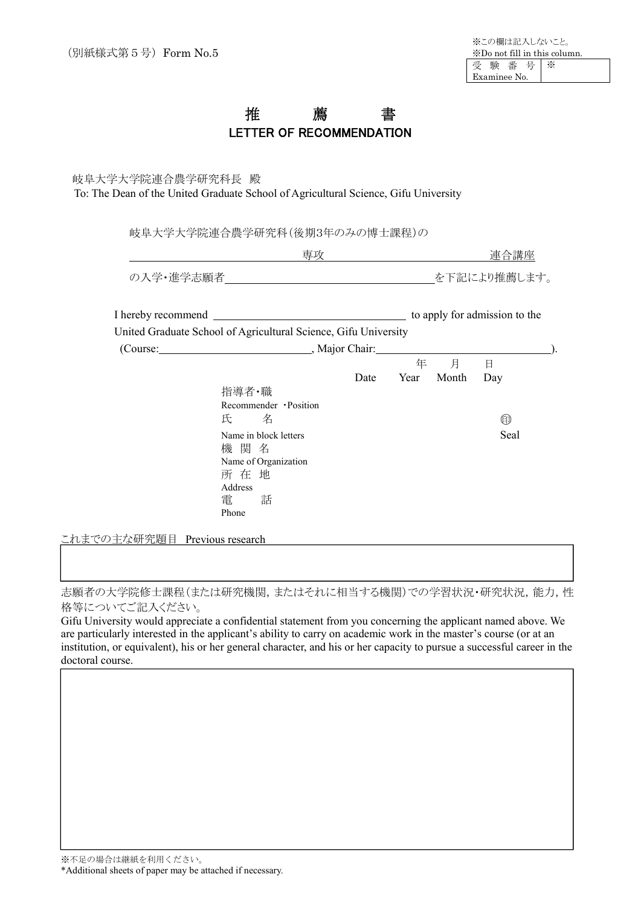### 推 薦 書 LETTER OF RECOMMENDATION

#### 岐阜大学大学院連合農学研究科長 殿 To: The Dean of the United Graduate School of Agricultural Science, Gifu University

岐阜大学大学院連合農学研究科(後期3年のみの博士課程)の

|           |                                                                 |      |      |       | 連合講座                          |  |
|-----------|-----------------------------------------------------------------|------|------|-------|-------------------------------|--|
| の入学・進学志願者 |                                                                 |      |      |       | を下記により推薦します。                  |  |
|           | United Graduate School of Agricultural Science, Gifu University |      |      |       | to apply for admission to the |  |
|           | (Course: Major Chair: Major Chair:                              |      |      |       |                               |  |
|           |                                                                 |      |      | 年 月   | 日                             |  |
|           |                                                                 | Date | Year | Month | Day                           |  |
|           | 指導者・職                                                           |      |      |       |                               |  |
|           | Recommender · Position<br>氏 名                                   |      |      |       | ⊕                             |  |
|           | Name in block letters<br>機 関 名<br>Name of Organization<br>所 在 地 |      |      |       | Seal                          |  |
|           | Address<br>電<br>話<br>Phone                                      |      |      |       |                               |  |

これまでの主な研究題目 Previous research

志願者の大学院修士課程(または研究機関,またはそれに相当する機関)での学習状況・研究状況,能力,性 格等についてご記入ください。

Gifu University would appreciate a confidential statement from you concerning the applicant named above. We are particularly interested in the applicant's ability to carry on academic work in the master's course (or at an institution, or equivalent), his or her general character, and his or her capacity to pursue a successful career in the doctoral course.

※不足の場合は継紙を利用ください。

 $\overline{\phantom{a}}$ 

\*Additional sheets of paper may be attached if necessary.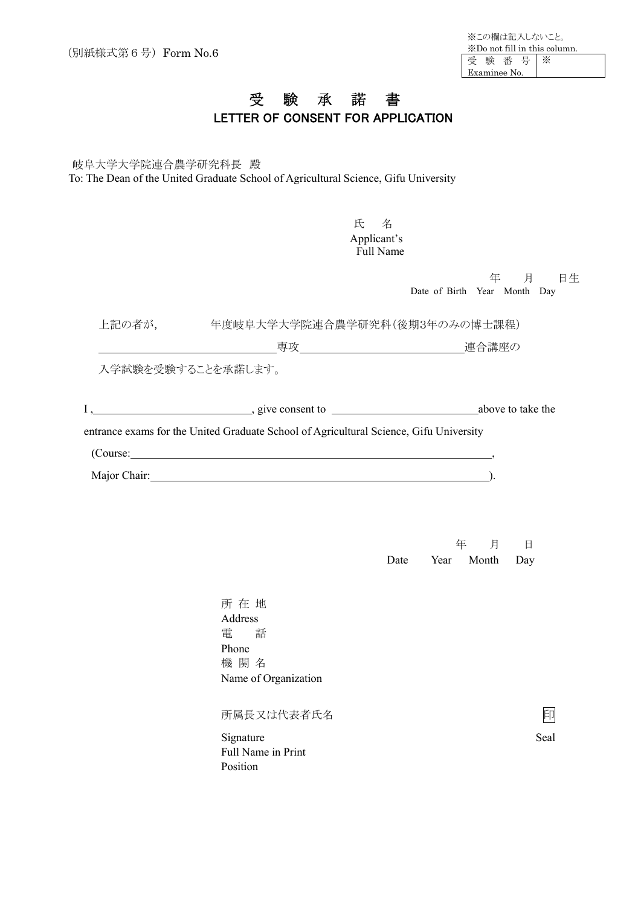## 受 験 承 諾 書 LETTER OF CONSENT FOR APPLICATION

 岐阜大学大学院連合農学研究科長 殿 To: The Dean of the United Graduate School of Agricultural Science, Gifu University

| 氏<br>名<br>Applicant's<br><b>Full Name</b>                                                                                                                                                                                      |                                          |
|--------------------------------------------------------------------------------------------------------------------------------------------------------------------------------------------------------------------------------|------------------------------------------|
|                                                                                                                                                                                                                                | 年 月 日生<br>Date of Birth Year Month Day   |
|                                                                                                                                                                                                                                |                                          |
|                                                                                                                                                                                                                                |                                          |
| 入学試験を受験することを承諾します。<br>entrance exams for the United Graduate School of Agricultural Science, Gifu University                                                                                                                   |                                          |
| (Course: contract of the contract of the contract of the contract of the contract of the contract of the contract of the contract of the contract of the contract of the contract of the contract of the contract of the contr |                                          |
| Major Chair: 1988 Major Chair: 1988 Major Chair: 1988 Major Chair: 1988 Major Chair: 1988 Major Chair: 1988 Major Chair: 1988 Major Chair: 1988 Major Chair: 1988 Major Chair: 1988 Major Chair: 1988 Major Chair: 1988 Major  |                                          |
|                                                                                                                                                                                                                                | 年<br>月<br>日<br>Year Month<br>Date<br>Day |

所 在 地 Address 電 話 Phone 機 関 名 Name of Organization 所属長又は代表者氏名 アンドランド アンドランド 印 Signature Seal Full Name in Print Position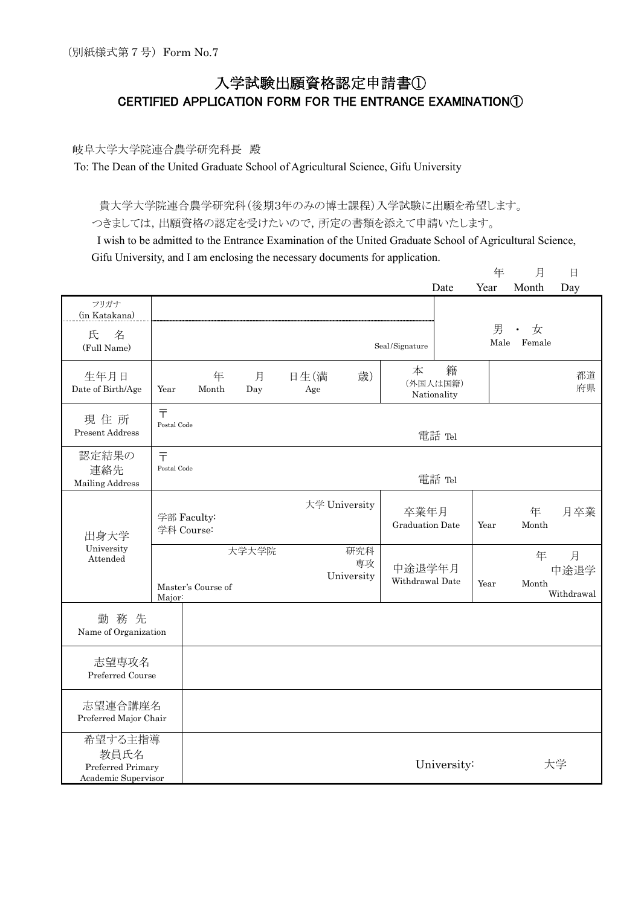## 入学試験出願資格認定申請書① CERTIFIED APPLICATION FORM FOR THE ENTRANCE EXAMINATION①

#### 岐阜大学大学院連合農学研究科長 殿

To: The Dean of the United Graduate School of Agricultural Science, Gifu University

貴大学大学院連合農学研究科(後期3年のみの博士課程)入学試験に出願を希望します。

つきましては,出願資格の認定を受けたいので,所定の書類を添えて申請いたします。

I wish to be admitted to the Entrance Examination of the United Graduate School of Agricultural Science, Gifu University, and I am enclosing the necessary documents for application.

|                                                             |                             |                           |          |             |                         |                                | Date                         | 年<br>Year | 月<br>Month               | $\Box$<br>Day           |
|-------------------------------------------------------------|-----------------------------|---------------------------|----------|-------------|-------------------------|--------------------------------|------------------------------|-----------|--------------------------|-------------------------|
| フリガナ<br>(in Katakana)<br>氏<br>名<br>(Full Name)              |                             |                           |          |             |                         | Seal/Signature                 |                              | 男<br>Male | 女<br>$\bullet$<br>Female |                         |
| 生年月日<br>Date of Birth/Age                                   | Year                        | 年<br>Month                | 月<br>Day | 日生(満<br>Age | 歳)                      | 本                              | 籍<br>(外国人は国籍)<br>Nationality |           |                          | 都道<br>府県                |
| 現住所<br><b>Present Address</b>                               | $\bar{T}$<br>Postal Code    |                           |          |             |                         |                                | 電話 Tel                       |           |                          |                         |
| 認定結果の<br>連絡先<br>Mailing Address                             | $\bar{\tau}$<br>Postal Code |                           |          |             |                         |                                | 電話 Tel                       |           |                          |                         |
| 出身大学                                                        |                             | 学部 Faculty:<br>学科 Course: |          |             | 大学 University           | 卒業年月<br><b>Graduation Date</b> |                              | Year      | 年<br>Month               | 月卒業                     |
| University<br>Attended                                      | Major:                      | Master's Course of        | 大学大学院    |             | 研究科<br>専攻<br>University | 中途退学年月<br>Withdrawal Date      |                              | Year      | 年<br>Month               | 月<br>中途退学<br>Withdrawal |
| 勤務先<br>Name of Organization                                 |                             |                           |          |             |                         |                                |                              |           |                          |                         |
| 志望専攻名<br>Preferred Course                                   |                             |                           |          |             |                         |                                |                              |           |                          |                         |
| 志望連合講座名<br>Preferred Major Chair                            |                             |                           |          |             |                         |                                |                              |           |                          |                         |
| 希望する主指導<br>教員氏名<br>Preferred Primary<br>Academic Supervisor |                             |                           |          |             |                         |                                | University:                  |           |                          | 大学                      |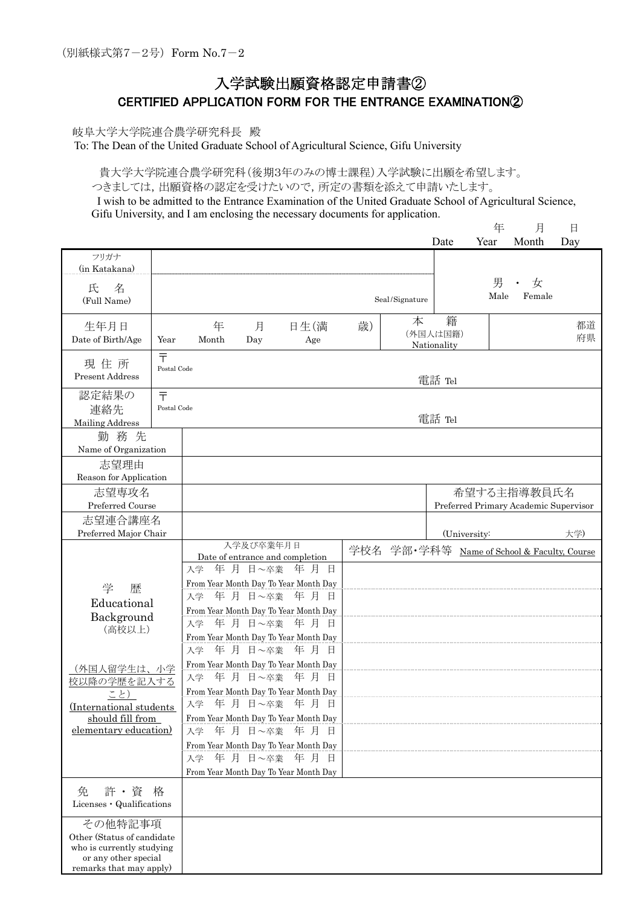### 入学試験出願資格認定申請書② CERTIFIED APPLICATION FORM FOR THE ENTRANCE EXAMINATION②

岐阜大学大学院連合農学研究科長 殿

To: The Dean of the United Graduate School of Agricultural Science, Gifu University

貴大学大学院連合農学研究科(後期3年のみの博士課程)入学試験に出願を希望します。 つきましては,出願資格の認定を受けたいので,所定の書類を添えて申請いたします。

I wish to be admitted to the Entrance Examination of the United Graduate School of Agricultural Science, Gifu University, and I am enclosing the necessary documents for application. 年 月 日

|                                                                                                                       |                             |            |           |                                                                                                                                                                                                                                           |    |                                                | Date                                        | $+$<br>Year | 月<br>Month  | н<br>Day |
|-----------------------------------------------------------------------------------------------------------------------|-----------------------------|------------|-----------|-------------------------------------------------------------------------------------------------------------------------------------------------------------------------------------------------------------------------------------------|----|------------------------------------------------|---------------------------------------------|-------------|-------------|----------|
| フリガナ<br>(in Katakana)                                                                                                 |                             |            |           |                                                                                                                                                                                                                                           |    |                                                |                                             |             |             |          |
| 氏<br>名                                                                                                                |                             |            |           |                                                                                                                                                                                                                                           |    |                                                |                                             | 男<br>Male   | 女<br>Female |          |
| (Full Name)                                                                                                           |                             |            |           |                                                                                                                                                                                                                                           |    | $\operatorname{Seal}/\operatorname{Signature}$ |                                             |             |             |          |
| 生年月日<br>Date of Birth/Age                                                                                             | Year                        | 年<br>Month | 月<br>Day  | 日生(満<br>Age                                                                                                                                                                                                                               | 歳) | 本                                              | 籍<br>(外国人は国籍)<br>Nationality                |             |             | 都道<br>府県 |
| 現住所<br>Present Address                                                                                                | $\bar{\tau}$<br>Postal Code |            |           |                                                                                                                                                                                                                                           |    |                                                | 電話 Tel                                      |             |             |          |
| 認定結果の<br>連絡先<br><b>Mailing Address</b>                                                                                | $\bar{\tau}$<br>Postal Code |            |           |                                                                                                                                                                                                                                           |    |                                                | 電話 Tel                                      |             |             |          |
| 勤務先                                                                                                                   |                             |            |           |                                                                                                                                                                                                                                           |    |                                                |                                             |             |             |          |
| Name of Organization                                                                                                  |                             |            |           |                                                                                                                                                                                                                                           |    |                                                |                                             |             |             |          |
| 志望理由                                                                                                                  |                             |            |           |                                                                                                                                                                                                                                           |    |                                                |                                             |             |             |          |
| Reason for Application                                                                                                |                             |            |           |                                                                                                                                                                                                                                           |    |                                                |                                             |             |             |          |
| 志望専攻名<br>Preferred Course                                                                                             |                             |            |           |                                                                                                                                                                                                                                           |    | Preferred Primary Academic Supervisor          |                                             | 希望する主指導教員氏名 |             |          |
| 志望連合講座名                                                                                                               |                             |            |           |                                                                                                                                                                                                                                           |    |                                                |                                             |             |             |          |
| Preferred Major Chair                                                                                                 |                             |            |           |                                                                                                                                                                                                                                           |    |                                                | (University:                                |             |             | 大学)      |
|                                                                                                                       |                             |            | 入学及び卒業年月日 |                                                                                                                                                                                                                                           |    |                                                | 学校名 学部·学科等 Name of School & Faculty, Course |             |             |          |
|                                                                                                                       |                             |            |           | Date of entrance and completion<br>入学 年 月 日~卒業 年 月 日                                                                                                                                                                                      |    |                                                |                                             |             |             |          |
| 学<br>歴<br>Educational<br>Background<br>(高校以上)                                                                         |                             |            |           | From Year Month Day To Year Month Day<br>入学 年 月 日~卒業 年 月 日<br>From Year Month Day To Year Month Day<br>入学 年 月 日~卒業 年 月 日                                                                                                                  |    |                                                |                                             |             |             |          |
| (外国人留学生は、小学<br>校以降の学歴を記入する<br>こと)<br>(International students<br>should fill from<br>elementary education)             |                             | 入学<br>入学   |           | From Year Month Day To Year Month Day<br>年 月 日~卒業 年 月 日<br>From Year Month Day To Year Month Day<br>入学 年 月 日~卒業 年 月 日<br>From Year Month Day To Year Month Day<br>入学 年 月 日~卒業 年 月 日<br>From Year Month Day To Year Month Day<br>年月日~卒業年月日 |    |                                                |                                             |             |             |          |
|                                                                                                                       |                             |            |           | From Year Month Day To Year Month Day<br>入学 年 月 日~卒業 年 月 日<br>From Year Month Day To Year Month Day                                                                                                                                       |    |                                                |                                             |             |             |          |
| 許・資<br>免<br>Licenses · Qualifications                                                                                 | 格                           |            |           |                                                                                                                                                                                                                                           |    |                                                |                                             |             |             |          |
| その他特記事項<br>Other (Status of candidate<br>who is currently studying<br>or any other special<br>remarks that may apply) |                             |            |           |                                                                                                                                                                                                                                           |    |                                                |                                             |             |             |          |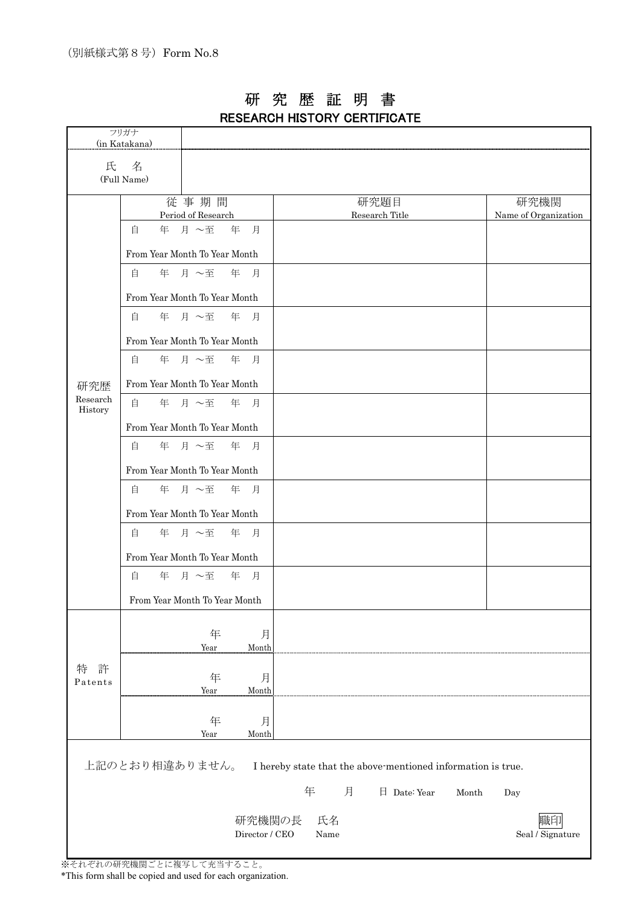|                     | フリガナ                          |                    |                |   |      |                |                                                              |       |                      |
|---------------------|-------------------------------|--------------------|----------------|---|------|----------------|--------------------------------------------------------------|-------|----------------------|
| (in Katakana)       |                               |                    |                |   |      |                |                                                              |       |                      |
| 氏                   | 名                             |                    |                |   |      |                |                                                              |       |                      |
|                     | (Full Name)                   |                    |                |   |      |                |                                                              |       |                      |
|                     |                               | 従事期間               |                |   |      | 研究題目           |                                                              |       | 研究機関                 |
|                     |                               | Period of Research |                |   |      | Research Title |                                                              |       | Name of Organization |
|                     | 自                             | 年 月 ~至             | 年 月            |   |      |                |                                                              |       |                      |
|                     | From Year Month To Year Month |                    |                |   |      |                |                                                              |       |                      |
|                     | 自                             | 年 月 ~至             | 年<br>月         |   |      |                |                                                              |       |                      |
|                     | From Year Month To Year Month |                    |                |   |      |                |                                                              |       |                      |
|                     | 自                             | 年 月 ~至             | 年 月            |   |      |                |                                                              |       |                      |
|                     | From Year Month To Year Month |                    |                |   |      |                |                                                              |       |                      |
|                     | 自                             | 年 月 ~至 年 月         |                |   |      |                |                                                              |       |                      |
| 研究歴                 | From Year Month To Year Month |                    |                |   |      |                |                                                              |       |                      |
| Research<br>History | 自                             | 年 月 ~至             | 年 月            |   |      |                |                                                              |       |                      |
|                     | From Year Month To Year Month |                    |                |   |      |                |                                                              |       |                      |
|                     | 自                             | 年 月 ~至             | 年 月            |   |      |                |                                                              |       |                      |
|                     | From Year Month To Year Month |                    |                |   |      |                |                                                              |       |                      |
|                     | 自                             | 年 月 ~至             | 年 月            |   |      |                |                                                              |       |                      |
|                     | From Year Month To Year Month |                    |                |   |      |                |                                                              |       |                      |
|                     | 自                             | 年 月 ~至             | 年 月            |   |      |                |                                                              |       |                      |
|                     | From Year Month To Year Month |                    |                |   |      |                |                                                              |       |                      |
|                     | 自                             | 年 月 ~至             | 年 月            |   |      |                |                                                              |       |                      |
|                     | From Year Month To Year Month |                    |                |   |      |                |                                                              |       |                      |
|                     |                               |                    |                |   |      |                |                                                              |       |                      |
|                     |                               | 年<br>Year          | 月<br>Month     |   |      |                |                                                              |       |                      |
| 許<br>特              |                               |                    |                |   |      |                |                                                              |       |                      |
| Patents             |                               | 年<br>Year          | 月<br>Month     |   |      |                |                                                              |       |                      |
|                     |                               |                    |                |   |      |                |                                                              |       |                      |
|                     |                               | 年<br>Year          | 月<br>Month     |   |      |                |                                                              |       |                      |
|                     |                               |                    |                |   |      |                |                                                              |       |                      |
|                     | 上記のとおり相違ありません。                |                    |                |   |      |                | I hereby state that the above-mentioned information is true. |       |                      |
|                     |                               |                    |                | 年 |      | 月              | 日 Date: Year                                                 | Month | Day                  |
|                     |                               |                    | 研究機関の長         |   | 氏名   |                |                                                              |       |                      |
|                     |                               |                    | Director / CEO |   | Name |                |                                                              |       | Seal / Signature     |
|                     |                               |                    |                |   |      |                |                                                              |       |                      |

### 研 究 歴 証 明 書 RESEARCH HISTORY CERTIFICATE

※それぞれの研究機関ごとに複写して充当すること。

\*This form shall be copied and used for each organization.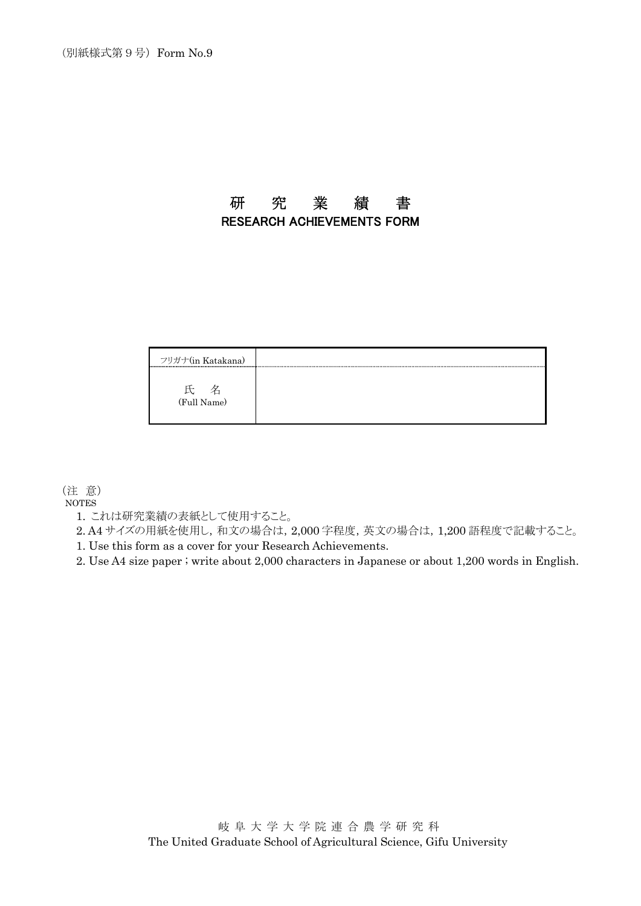### 研 究 業 績 書 RESEARCH ACHIEVEMENTS FORM

| フリガナ(in Katakana)                                |  |
|--------------------------------------------------|--|
| and the state of the state of the<br>(Full Name) |  |

(注 意)

NOTES

1. これは研究業績の表紙として使用すること。

2. A4 サイズの用紙を使用し,和文の場合は, 2,000 字程度, 英文の場合は, 1,200 語程度で記載すること。

1. Use this form as a cover for your Research Achievements.

2. Use A4 size paper ; write about 2,000 characters in Japanese or about 1,200 words in English.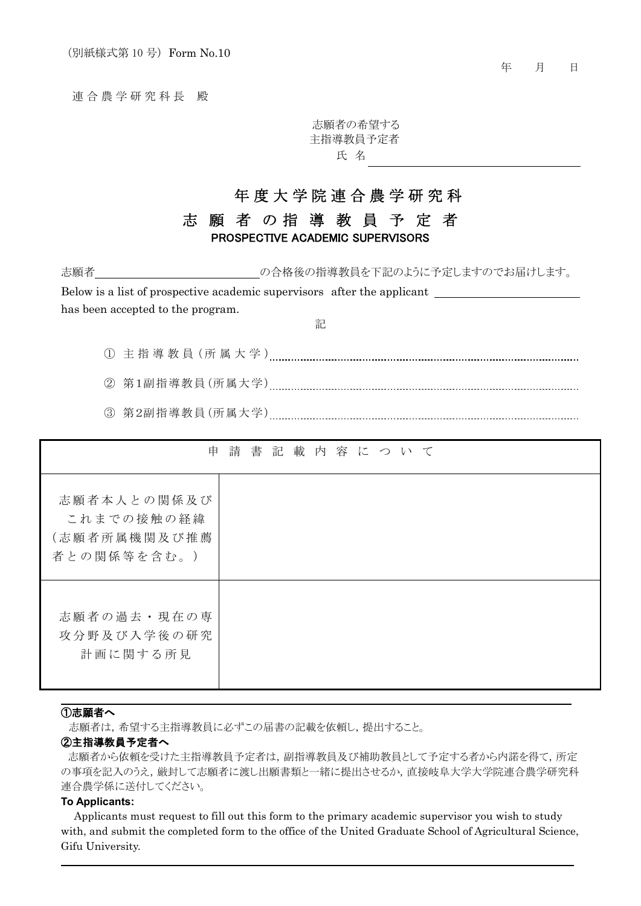連 合 農 学 研 究 科 長 殿

志願者の希望する 主指導教員予定者 氏 名

## 年 度 大 学 院 連 合 農 学 研 究 科

### 志 願 者 の 指 導 教 員 予 定 者 PROSPECTIVE ACADEMIC SUPERVISORS

志願者 ついち この合格後の指導教員を下記のように予定しますのでお届けします。

Below is a list of prospective academic supervisors after the applicant \_\_\_\_\_\_\_\_\_ has been accepted to the program.

記

① 主 指 導 教 員 (所 属 大 学 )

② 第1副指導教員(所属大学)

③ 第2副指導教員(所属大学)

| 申                                                        | 請 書 記 載 内 容 に つ い て |  |  |  |  |  |
|----------------------------------------------------------|---------------------|--|--|--|--|--|
| 志願者本人との関係及び<br>これまでの接触の経緯<br>(志願者所属機関及び推薦<br>者との関係等を含む。) |                     |  |  |  |  |  |
| 志願者の過去・現在の専<br>攻分野及び入学後の研究<br>計画に関する所見                   |                     |  |  |  |  |  |

#### ①志願者へ

志願者は,希望する主指導教員に必ずこの届書の記載を依頼し,提出すること。

#### ②主指導教員予定者へ

志願者から依頼を受けた主指導教員予定者は,副指導教員及び補助教員として予定する者から内諾を得て,所定 の事項を記入のうえ,厳封して志願者に渡し出願書類と一緒に提出させるか,直接岐阜大学大学院連合農学研究科 連合農学係に送付してください。

#### **To Applicants:**

Applicants must request to fill out this form to the primary academic supervisor you wish to study with, and submit the completed form to the office of the United Graduate School of Agricultural Science, Gifu University.